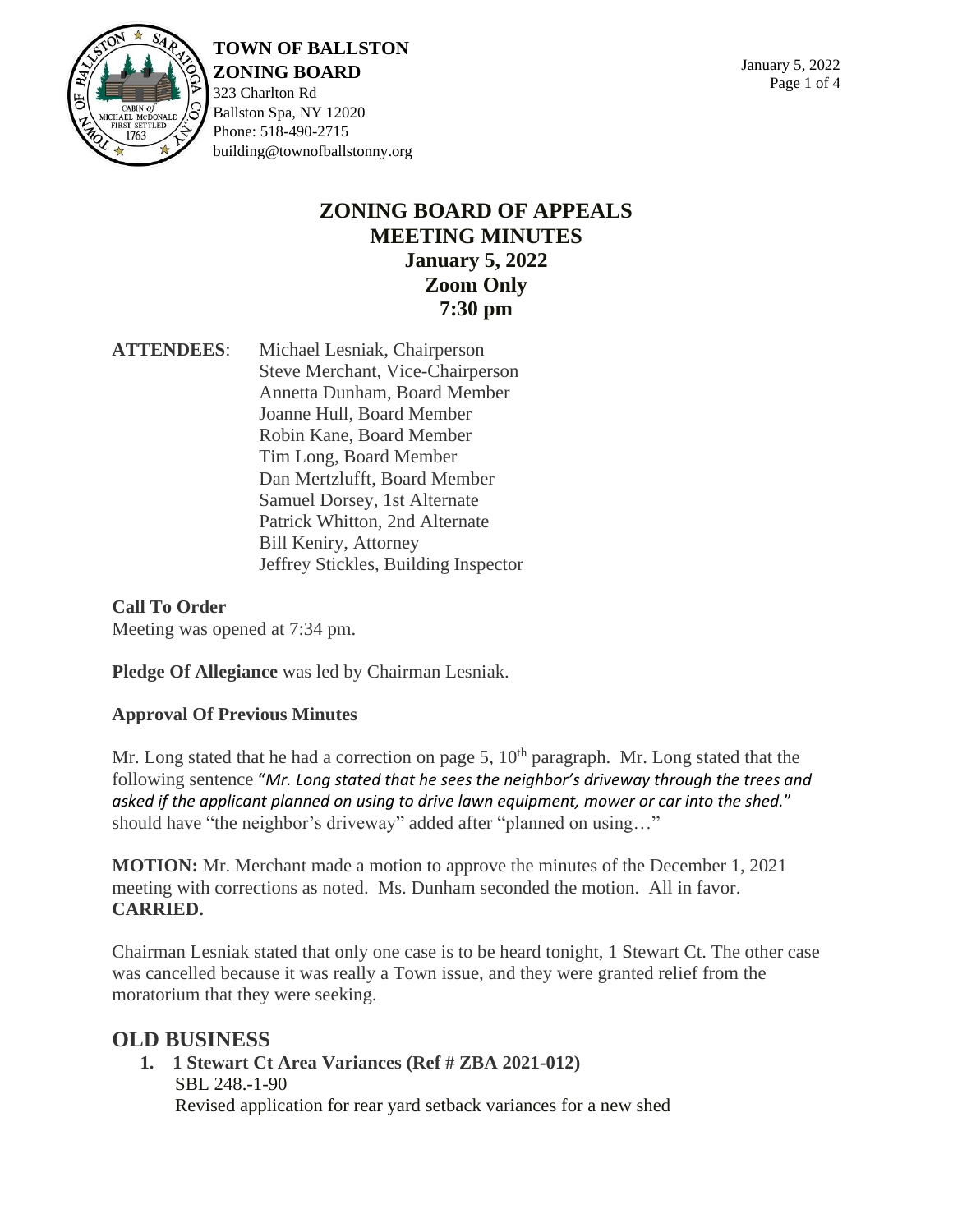

**TOWN OF BALLSTON ZONING BOARD**

323 Charlton Rd Ballston Spa, NY 12020 Phone: 518-490-2715 building@townofballstonny.org

## **ZONING BOARD OF APPEALS MEETING MINUTES January 5, 2022 Zoom Only 7:30 pm**

**ATTENDEES**: Michael Lesniak, Chairperson Steve Merchant, Vice-Chairperson Annetta Dunham, Board Member Joanne Hull, Board Member Robin Kane, Board Member Tim Long, Board Member Dan Mertzlufft, Board Member Samuel Dorsey, 1st Alternate Patrick Whitton, 2nd Alternate Bill Keniry, Attorney Jeffrey Stickles, Building Inspector

**Call To Order** Meeting was opened at 7:34 pm.

**Pledge Of Allegiance** was led by Chairman Lesniak.

### **Approval Of Previous Minutes**

Mr. Long stated that he had a correction on page 5,  $10<sup>th</sup>$  paragraph. Mr. Long stated that the following sentence "*Mr. Long stated that he sees the neighbor's driveway through the trees and asked if the applicant planned on using to drive lawn equipment, mower or car into the shed.*" should have "the neighbor's driveway" added after "planned on using…"

**MOTION:** Mr. Merchant made a motion to approve the minutes of the December 1, 2021 meeting with corrections as noted. Ms. Dunham seconded the motion. All in favor. **CARRIED.**

Chairman Lesniak stated that only one case is to be heard tonight, 1 Stewart Ct. The other case was cancelled because it was really a Town issue, and they were granted relief from the moratorium that they were seeking.

### **OLD BUSINESS**

**1. 1 Stewart Ct Area Variances (Ref # ZBA 2021-012)** SBL 248.-1-90 Revised application for rear yard setback variances for a new shed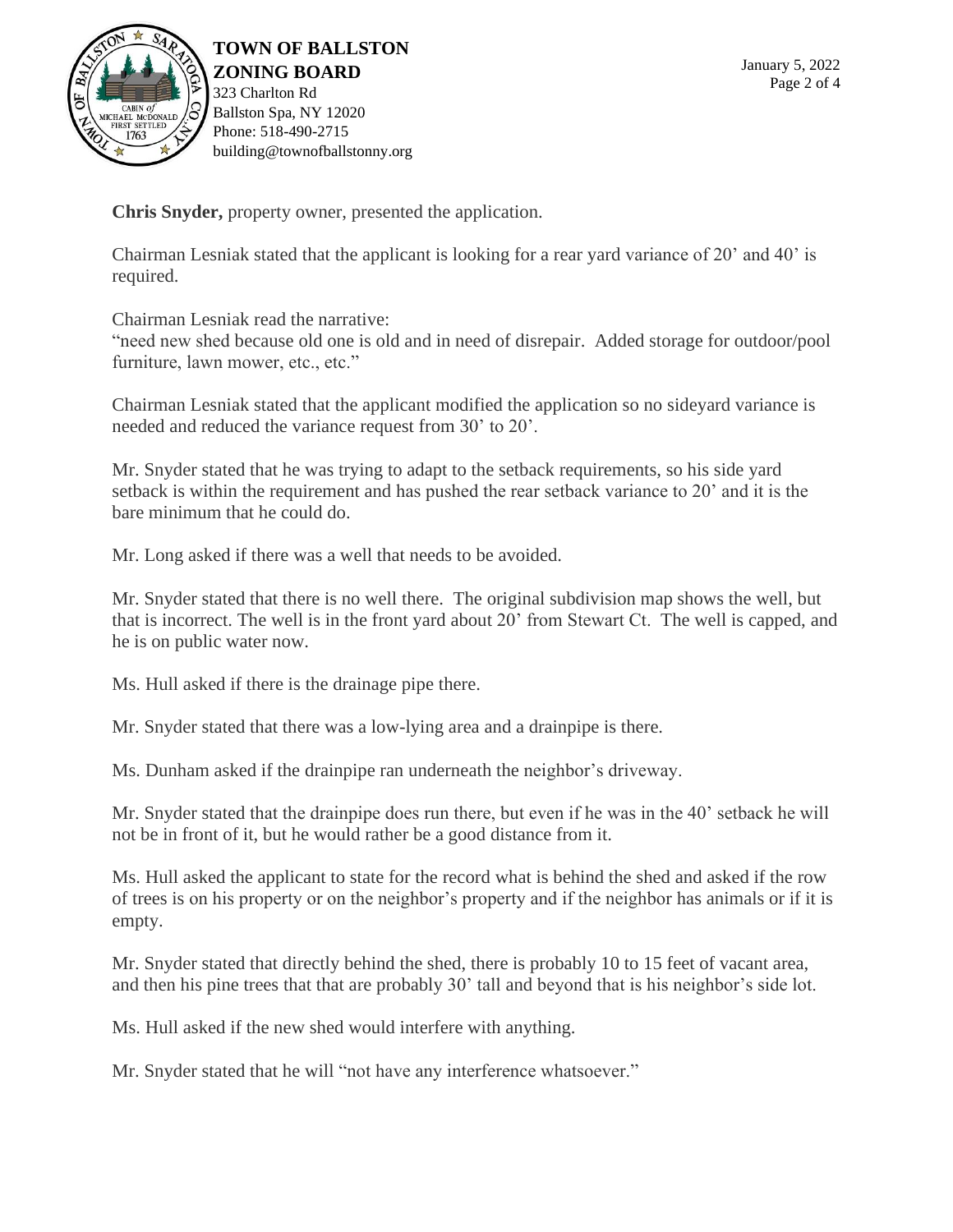

**TOWN OF BALLSTON ZONING BOARD** 323 Charlton Rd Ballston Spa, NY 12020 Phone: 518-490-2715 building@townofballstonny.org

**Chris Snyder,** property owner, presented the application.

Chairman Lesniak stated that the applicant is looking for a rear yard variance of 20' and 40' is required.

Chairman Lesniak read the narrative:

"need new shed because old one is old and in need of disrepair. Added storage for outdoor/pool furniture, lawn mower, etc., etc."

Chairman Lesniak stated that the applicant modified the application so no sideyard variance is needed and reduced the variance request from 30' to 20'.

Mr. Snyder stated that he was trying to adapt to the setback requirements, so his side yard setback is within the requirement and has pushed the rear setback variance to 20' and it is the bare minimum that he could do.

Mr. Long asked if there was a well that needs to be avoided.

Mr. Snyder stated that there is no well there. The original subdivision map shows the well, but that is incorrect. The well is in the front yard about 20' from Stewart Ct. The well is capped, and he is on public water now.

Ms. Hull asked if there is the drainage pipe there.

Mr. Snyder stated that there was a low-lying area and a drainpipe is there.

Ms. Dunham asked if the drainpipe ran underneath the neighbor's driveway.

Mr. Snyder stated that the drainpipe does run there, but even if he was in the 40' setback he will not be in front of it, but he would rather be a good distance from it.

Ms. Hull asked the applicant to state for the record what is behind the shed and asked if the row of trees is on his property or on the neighbor's property and if the neighbor has animals or if it is empty.

Mr. Snyder stated that directly behind the shed, there is probably 10 to 15 feet of vacant area, and then his pine trees that that are probably 30' tall and beyond that is his neighbor's side lot.

Ms. Hull asked if the new shed would interfere with anything.

Mr. Snyder stated that he will "not have any interference whatsoever."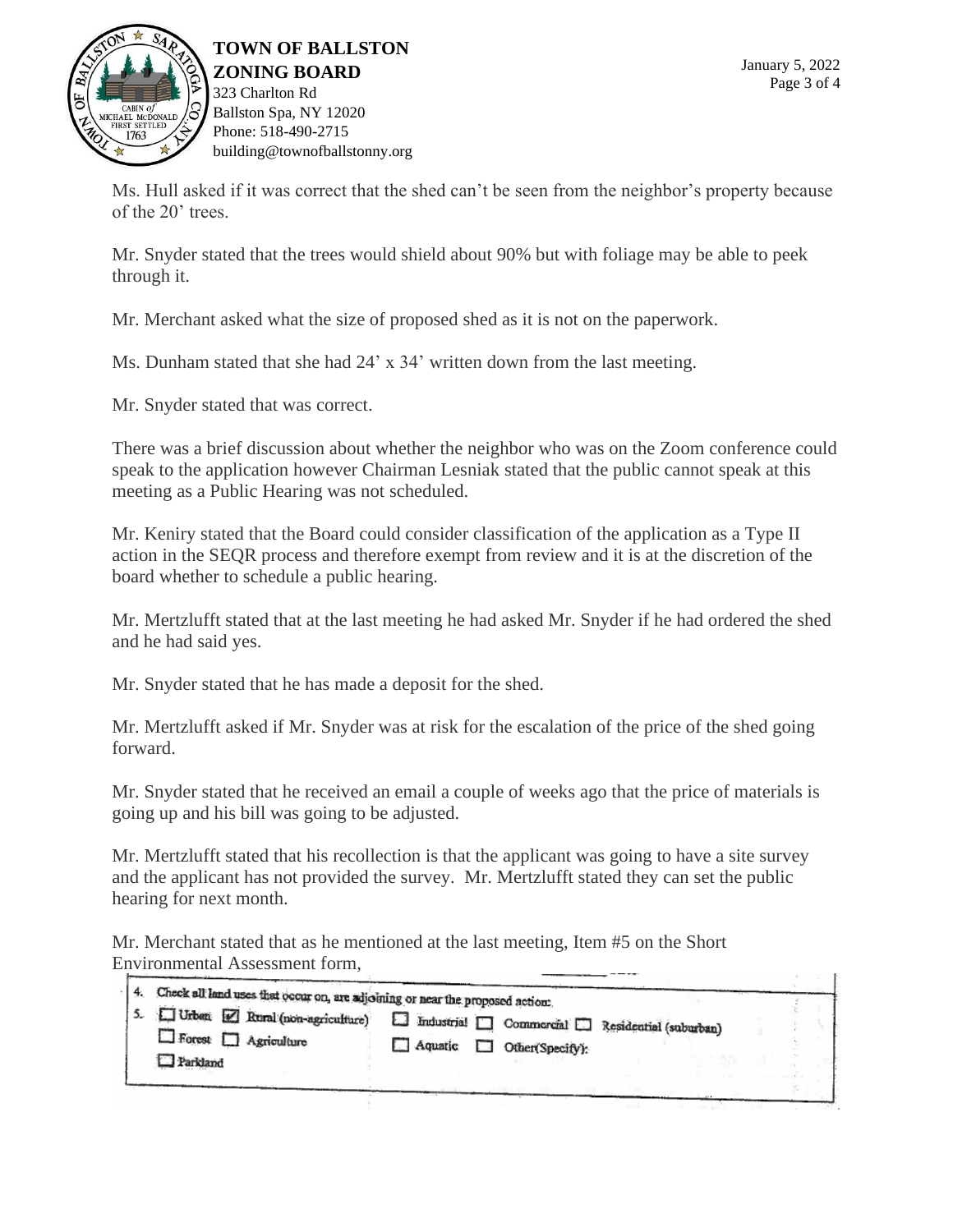

**TOWN OF BALLSTON ZONING BOARD** 323 Charlton Rd Ballston Spa, NY 12020 Phone: 518-490-2715 building@townofballstonny.org

Ms. Hull asked if it was correct that the shed can't be seen from the neighbor's property because of the 20' trees.

Mr. Snyder stated that the trees would shield about 90% but with foliage may be able to peek through it.

Mr. Merchant asked what the size of proposed shed as it is not on the paperwork.

Ms. Dunham stated that she had 24' x 34' written down from the last meeting.

Mr. Snyder stated that was correct.

There was a brief discussion about whether the neighbor who was on the Zoom conference could speak to the application however Chairman Lesniak stated that the public cannot speak at this meeting as a Public Hearing was not scheduled.

Mr. Keniry stated that the Board could consider classification of the application as a Type II action in the SEQR process and therefore exempt from review and it is at the discretion of the board whether to schedule a public hearing.

Mr. Mertzlufft stated that at the last meeting he had asked Mr. Snyder if he had ordered the shed and he had said yes.

Mr. Snyder stated that he has made a deposit for the shed.

Mr. Mertzlufft asked if Mr. Snyder was at risk for the escalation of the price of the shed going forward.

Mr. Snyder stated that he received an email a couple of weeks ago that the price of materials is going up and his bill was going to be adjusted.

Mr. Mertzlufft stated that his recollection is that the applicant was going to have a site survey and the applicant has not provided the survey. Mr. Mertzlufft stated they can set the public hearing for next month.

Mr. Merchant stated that as he mentioned at the last meeting, Item #5 on the Short Environmental Assessment form,